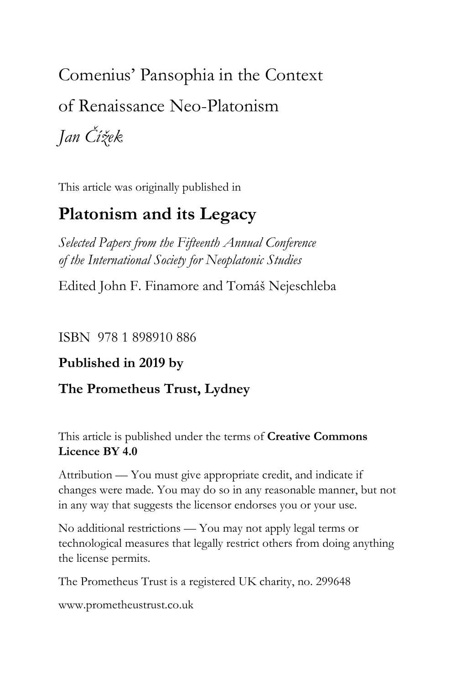Comenius' Pansophia in the Context of Renaissance Neo-Platonism

*Jan Čížek*

This article was originally published in

# **Platonism and its Legacy**

*Selected Papers from the Fifteenth Annual Conference of the International Society for Neoplatonic Studies*

Edited John F. Finamore and Tomáš Nejeschleba

ISBN 978 1 898910 886

### **Published in 2019 by**

### **The Prometheus Trust, Lydney**

This article is published under the terms of **Creative Commons Licence BY 4.0**

Attribution — You must give appropriate credit, and indicate if changes were made. You may do so in any reasonable manner, but not in any way that suggests the licensor endorses you or your use.

No additional restrictions — You may not apply legal terms or technological measures that legally restrict others from doing anything the license permits.

The Prometheus Trust is a registered UK charity, no. 299648

[www.prometheustrust.co.uk](http://www.prometheustrust.co.uk/)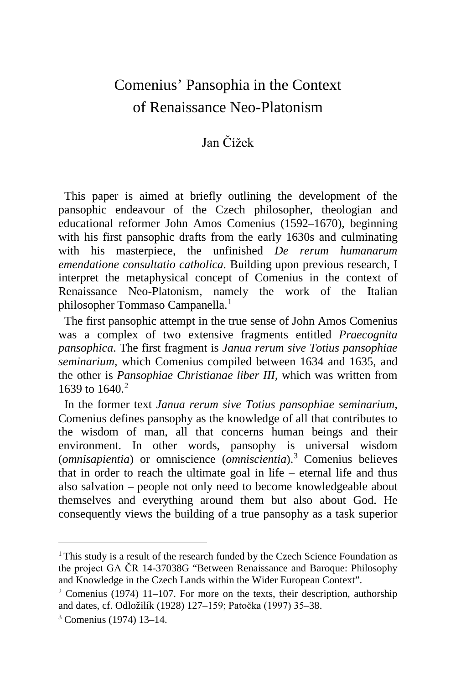## Comenius' Pansophia in the Context of Renaissance Neo-Platonism

#### Jan Čížek

 This paper is aimed at briefly outlining the development of the pansophic endeavour of the Czech philosopher, theologian and educational reformer John Amos Comenius (1592–1670), beginning with his first pansophic drafts from the early 1630s and culminating with his masterpiece, the unfinished *De rerum humanarum emendatione consultatio catholica.* Building upon previous research, I interpret the metaphysical concept of Comenius in the context of Renaissance Neo-Platonism, namely the work of the Italian philosopher Tommaso Campanella.<sup>[1](#page-1-0)</sup>

 The first pansophic attempt in the true sense of John Amos Comenius was a complex of two extensive fragments entitled *Praecognita pansophica*. The first fragment is *Janua rerum sive Totius pansophiae seminarium*, which Comenius compiled between 1634 and 1635, and the other is *Pansophiae Christianae liber III*, which was written from 1639 to 1640 $2$ 

 In the former text *Janua rerum sive Totius pansophiae seminarium*, Comenius defines pansophy as the knowledge of all that contributes to the wisdom of man, all that concerns human beings and their environment. In other words, pansophy is universal wisdom (*omnisapientia*) or omniscience (*omniscientia*).[3](#page-1-2) Comenius believes that in order to reach the ultimate goal in life – eternal life and thus also salvation – people not only need to become knowledgeable about themselves and everything around them but also about God. He consequently views the building of a true pansophy as a task superior

<span id="page-1-0"></span><sup>&</sup>lt;sup>1</sup> This study is a result of the research funded by the Czech Science Foundation as the project GA ČR 14-37038G "Between Renaissance and Baroque: Philosophy and Knowledge in the Czech Lands within the Wider European Context".

<span id="page-1-1"></span> $2$  Comenius (1974) 11–107. For more on the texts, their description, authorship and dates, cf. Odložilík (1928) 127–159; Patočka (1997) 35–38.

<span id="page-1-2"></span><sup>3</sup> Comenius (1974) 13–14.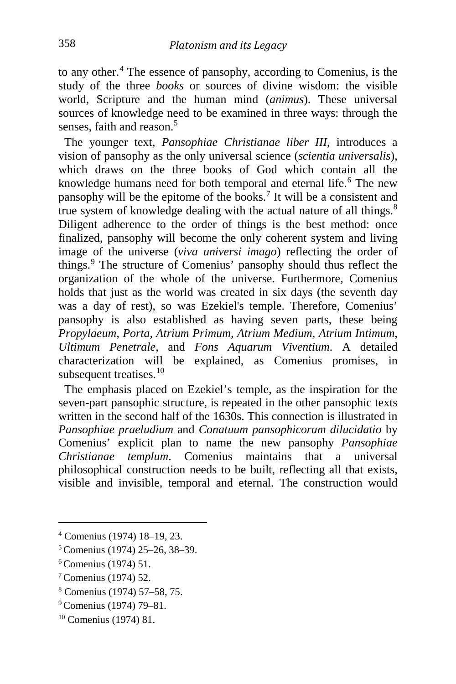to any other.[4](#page-2-0) The essence of pansophy, according to Comenius, is the study of the three *books* or sources of divine wisdom: the visible world, Scripture and the human mind (*animus*). These universal sources of knowledge need to be examined in three ways: through the senses, faith and reason  $5$ 

 The younger text, *Pansophiae Christianae liber III*, introduces a vision of pansophy as the only universal science (*scientia universalis*), which draws on the three books of God which contain all the knowledge humans need for both temporal and eternal life.<sup>[6](#page-2-2)</sup> The new pansophy will be the epitome of the books.[7](#page-2-3) It will be a consistent and true system of knowledge dealing with the actual nature of all things.<sup>[8](#page-2-4)</sup> Diligent adherence to the order of things is the best method: once finalized, pansophy will become the only coherent system and living image of the universe (*viva universi imago*) reflecting the order of things.[9](#page-2-5) The structure of Comenius' pansophy should thus reflect the organization of the whole of the universe. Furthermore, Comenius holds that just as the world was created in six days (the seventh day was a day of rest), so was Ezekiel's temple. Therefore, Comenius' pansophy is also established as having seven parts, these being *Propylaeum, Porta, Atrium Primum, Atrium Medium, Atrium Intimum, Ultimum Penetrale,* and *Fons Aquarum Viventium*. A detailed characterization will be explained, as Comenius promises, in subsequent treatises.<sup>[10](#page-2-6)</sup>

 The emphasis placed on Ezekiel's temple, as the inspiration for the seven-part pansophic structure, is repeated in the other pansophic texts written in the second half of the 1630s. This connection is illustrated in *Pansophiae praeludium* and *Conatuum pansophicorum dilucidatio* by Comenius' explicit plan to name the new pansophy *Pansophiae Christianae templum*. Comenius maintains that a universal philosophical construction needs to be built, reflecting all that exists, visible and invisible, temporal and eternal. The construction would

- <span id="page-2-3"></span><sup>7</sup> Comenius (1974) 52.
- <span id="page-2-4"></span><sup>8</sup> Comenius (1974) 57–58, 75.

<span id="page-2-0"></span><sup>4</sup> Comenius (1974) 18–19, 23.

<span id="page-2-1"></span><sup>5</sup> Comenius (1974) 25–26, 38–39.

<span id="page-2-2"></span><sup>6</sup> Comenius (1974) 51.

<span id="page-2-5"></span><sup>9</sup> Comenius (1974) 79–81.

<span id="page-2-6"></span><sup>10</sup> Comenius (1974) 81.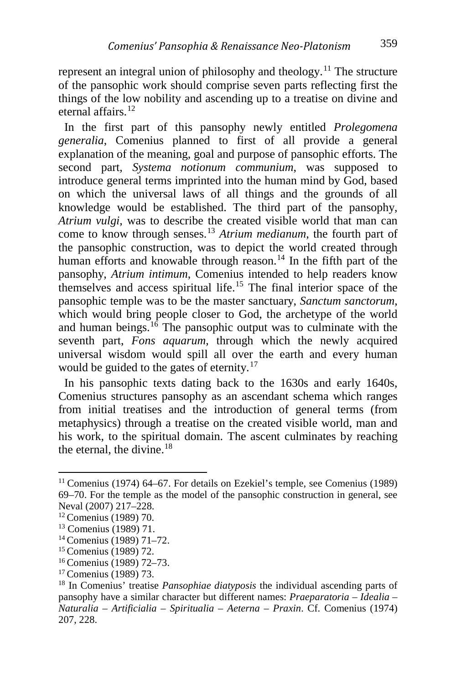represent an integral union of philosophy and theology.<sup>[11](#page-3-0)</sup> The structure of the pansophic work should comprise seven parts reflecting first the things of the low nobility and ascending up to a treatise on divine and eternal affairs.<sup>[12](#page-3-1)</sup>

 In the first part of this pansophy newly entitled *Prolegomena generalia*, Comenius planned to first of all provide a general explanation of the meaning, goal and purpose of pansophic efforts. The second part, *Systema notionum communium*, was supposed to introduce general terms imprinted into the human mind by God, based on which the universal laws of all things and the grounds of all knowledge would be established. The third part of the pansophy, *Atrium vulgi*, was to describe the created visible world that man can come to know through senses.[13](#page-3-2) *Atrium medianum*, the fourth part of the pansophic construction, was to depict the world created through human efforts and knowable through reason.<sup>[14](#page-3-3)</sup> In the fifth part of the pansophy, *Atrium intimum*, Comenius intended to help readers know themselves and access spiritual life.<sup>[15](#page-3-4)</sup> The final interior space of the pansophic temple was to be the master sanctuary, *Sanctum sanctorum*, which would bring people closer to God, the archetype of the world and human beings. $16$  The pansophic output was to culminate with the seventh part, *Fons aquarum*, through which the newly acquired universal wisdom would spill all over the earth and every human would be guided to the gates of eternity.<sup>[17](#page-3-6)</sup>

 In his pansophic texts dating back to the 1630s and early 1640s, Comenius structures pansophy as an ascendant schema which ranges from initial treatises and the introduction of general terms (from metaphysics) through a treatise on the created visible world, man and his work, to the spiritual domain. The ascent culminates by reaching the eternal, the divine.<sup>[18](#page-3-7)</sup>

<span id="page-3-0"></span><sup>11</sup> Comenius (1974) 64–67. For details on Ezekiel's temple, see Comenius (1989) 69–70. For the temple as the model of the pansophic construction in general, see Neval (2007) 217–228.

<span id="page-3-1"></span><sup>12</sup> Comenius (1989) 70.

<span id="page-3-2"></span><sup>13</sup> Comenius (1989) 71.

<span id="page-3-3"></span><sup>14</sup> Comenius (1989) 71–72.

<span id="page-3-4"></span><sup>15</sup> Comenius (1989) 72.

<span id="page-3-5"></span><sup>16</sup> Comenius (1989) 72–73.

<span id="page-3-6"></span><sup>17</sup> Comenius (1989) 73.

<span id="page-3-7"></span><sup>18</sup> In Comenius' treatise *Pansophiae diatyposis* the individual ascending parts of pansophy have a similar character but different names: *Praeparatoria* – *Idealia* – *Naturalia* – *Artificialia* – *Spiritualia* – *Aeterna* – *Praxin*. Cf. Comenius (1974) 207, 228.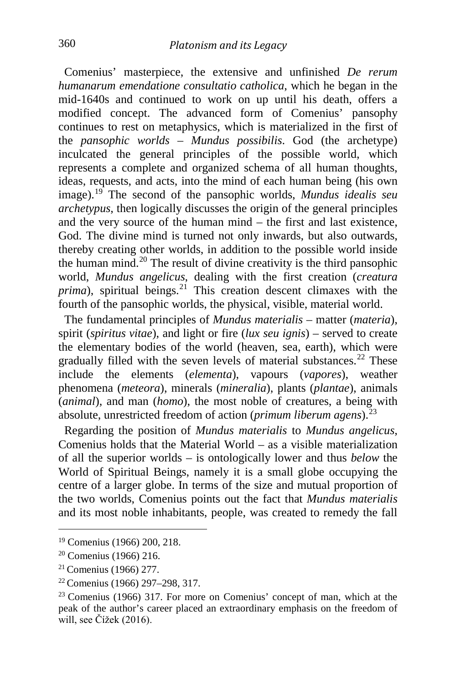Comenius' masterpiece, the extensive and unfinished *De rerum humanarum emendatione consultatio catholica*, which he began in the mid-1640s and continued to work on up until his death, offers a modified concept. The advanced form of Comenius' pansophy continues to rest on metaphysics, which is materialized in the first of the *pansophic worlds* – *Mundus possibilis*. God (the archetype) inculcated the general principles of the possible world, which represents a complete and organized schema of all human thoughts, ideas, requests, and acts, into the mind of each human being (his own image).[19](#page-4-0) The second of the pansophic worlds, *Mundus idealis seu archetypus*, then logically discusses the origin of the general principles and the very source of the human mind – the first and last existence, God. The divine mind is turned not only inwards, but also outwards, thereby creating other worlds, in addition to the possible world inside the human mind.<sup>[20](#page-4-1)</sup> The result of divine creativity is the third pansophic world, *Mundus angelicus*, dealing with the first creation (*creatura prima*), spiritual beings.<sup>[21](#page-4-2)</sup> This creation descent climaxes with the fourth of the pansophic worlds, the physical, visible, material world.

 The fundamental principles of *Mundus materialis* – matter (*materia*), spirit (*spiritus vitae*), and light or fire (*lux seu ignis*) – served to create the elementary bodies of the world (heaven, sea, earth), which were gradually filled with the seven levels of material substances.<sup>[22](#page-4-3)</sup> These include the elements (*elementa*), vapours (*vapores*), weather phenomena (*meteora*), minerals (*mineralia*), plants (*plantae*), animals (*animal*), and man (*homo*), the most noble of creatures, a being with absolute, unrestricted freedom of action (*primum liberum agens*).[23](#page-4-4)

 Regarding the position of *Mundus materialis* to *Mundus angelicus*, Comenius holds that the Material World – as a visible materialization of all the superior worlds – is ontologically lower and thus *below* the World of Spiritual Beings, namely it is a small globe occupying the centre of a larger globe. In terms of the size and mutual proportion of the two worlds, Comenius points out the fact that *Mundus materialis* and its most noble inhabitants, people, was created to remedy the fall

<span id="page-4-0"></span><sup>19</sup> Comenius (1966) 200, 218.

<span id="page-4-1"></span> $20$  Comenius (1966) 216.

<span id="page-4-2"></span><sup>21</sup> Comenius (1966) 277.

<span id="page-4-3"></span><sup>22</sup> Comenius (1966) 297–298, 317.

<span id="page-4-4"></span> $23$  Comenius (1966) 317. For more on Comenius' concept of man, which at the peak of the author's career placed an extraordinary emphasis on the freedom of will, see Čížek (2016).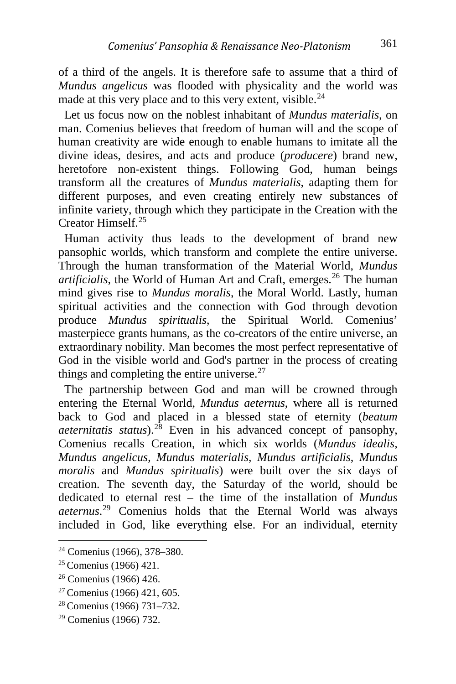of a third of the angels. It is therefore safe to assume that a third of *Mundus angelicus* was flooded with physicality and the world was made at this very place and to this very extent, visible.<sup>[24](#page-5-0)</sup>

 Let us focus now on the noblest inhabitant of *Mundus materialis*, on man. Comenius believes that freedom of human will and the scope of human creativity are wide enough to enable humans to imitate all the divine ideas, desires, and acts and produce (*producere*) brand new, heretofore non-existent things. Following God, human beings transform all the creatures of *Mundus materialis*, adapting them for different purposes, and even creating entirely new substances of infinite variety, through which they participate in the Creation with the Creator Himself<sup>[25](#page-5-1)</sup>

 Human activity thus leads to the development of brand new pansophic worlds, which transform and complete the entire universe. Through the human transformation of the Material World, *Mundus artificialis*, the World of Human Art and Craft, emerges.<sup>[26](#page-5-2)</sup> The human mind gives rise to *Mundus moralis*, the Moral World. Lastly, human spiritual activities and the connection with God through devotion produce *Mundus spiritualis*, the Spiritual World. Comenius' masterpiece grants humans, as the co-creators of the entire universe, an extraordinary nobility. Man becomes the most perfect representative of God in the visible world and God's partner in the process of creating things and completing the entire universe. $27$ 

 The partnership between God and man will be crowned through entering the Eternal World, *Mundus aeternus*, where all is returned back to God and placed in a blessed state of eternity (*beatum aeternitatis status*).[28](#page-5-4) Even in his advanced concept of pansophy, Comenius recalls Creation, in which six worlds (*Mundus idealis*, *Mundus angelicus*, *Mundus materialis*, *Mundus artificialis*, *Mundus moralis* and *Mundus spiritualis*) were built over the six days of creation. The seventh day, the Saturday of the world, should be dedicated to eternal rest – the time of the installation of *Mundus aeternus*. [29](#page-5-5) Comenius holds that the Eternal World was always included in God, like everything else. For an individual, eternity

<span id="page-5-0"></span><sup>24</sup> Comenius (1966), 378–380.

<span id="page-5-1"></span><sup>25</sup> Comenius (1966) 421.

<span id="page-5-2"></span><sup>26</sup> Comenius (1966) 426.

<span id="page-5-3"></span><sup>27</sup> Comenius (1966) 421, 605.

<span id="page-5-4"></span><sup>28</sup> Comenius (1966) 731–732.

<span id="page-5-5"></span><sup>29</sup> Comenius (1966) 732.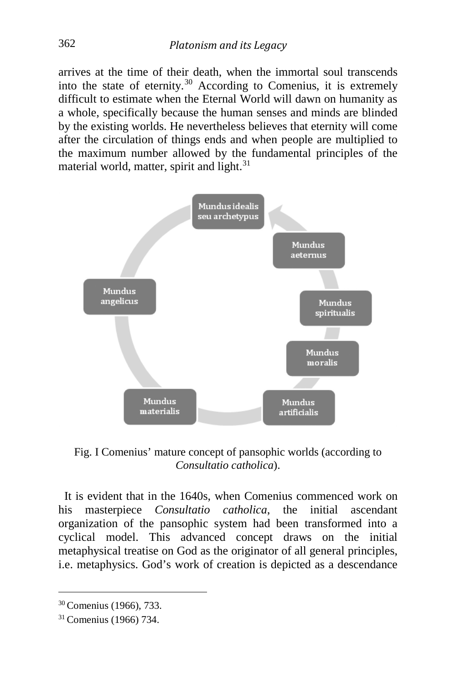arrives at the time of their death, when the immortal soul transcends into the state of eternity. $30$  According to Comenius, it is extremely difficult to estimate when the Eternal World will dawn on humanity as a whole, specifically because the human senses and minds are blinded by the existing worlds. He nevertheless believes that eternity will come after the circulation of things ends and when people are multiplied to the maximum number allowed by the fundamental principles of the material world, matter, spirit and light.<sup>[31](#page-6-1)</sup>



Fig. I Comenius' mature concept of pansophic worlds (according to *Consultatio catholica*).

 It is evident that in the 1640s, when Comenius commenced work on his masterpiece *Consultatio catholica*, the initial ascendant organization of the pansophic system had been transformed into a cyclical model. This advanced concept draws on the initial metaphysical treatise on God as the originator of all general principles, i.e. metaphysics. God's work of creation is depicted as a descendance

<span id="page-6-0"></span><sup>30</sup> Comenius (1966), 733.

<span id="page-6-1"></span><sup>31</sup> Comenius (1966) 734.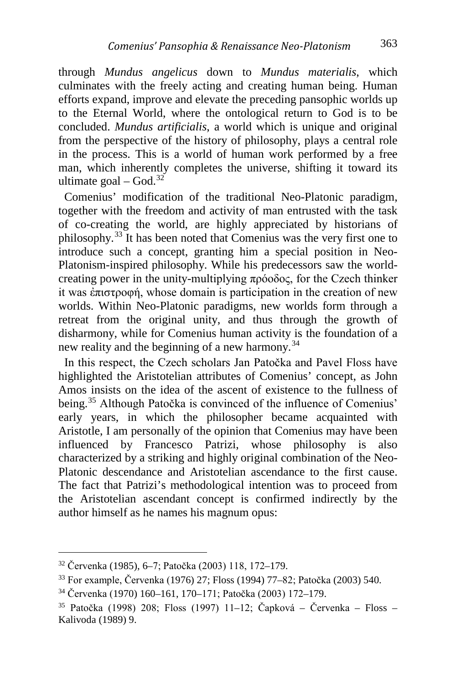through *Mundus angelicus* down to *Mundus materialis*, which culminates with the freely acting and creating human being. Human efforts expand, improve and elevate the preceding pansophic worlds up to the Eternal World, where the ontological return to God is to be concluded. *Mundus artificialis*, a world which is unique and original from the perspective of the history of philosophy, plays a central role in the process. This is a world of human work performed by a free man, which inherently completes the universe, shifting it toward its ultimate goal –  $God.<sup>32</sup>$  $God.<sup>32</sup>$  $God.<sup>32</sup>$ 

 Comenius' modification of the traditional Neo-Platonic paradigm, together with the freedom and activity of man entrusted with the task of co-creating the world, are highly appreciated by historians of philosophy.[33](#page-7-1) It has been noted that Comenius was the very first one to introduce such a concept, granting him a special position in Neo-Platonism-inspired philosophy. While his predecessors saw the worldcreating power in the unity-multiplying πρόοδος, for the Czech thinker it was ἐπιστροφή, whose domain is participation in the creation of new worlds. Within Neo-Platonic paradigms, new worlds form through a retreat from the original unity, and thus through the growth of disharmony, while for Comenius human activity is the foundation of a new reality and the beginning of a new harmony.<sup>[34](#page-7-2)</sup>

 In this respect, the Czech scholars Jan Patočka and Pavel Floss have highlighted the Aristotelian attributes of Comenius' concept, as John Amos insists on the idea of the ascent of existence to the fullness of being.<sup>[35](#page-7-3)</sup> Although Patočka is convinced of the influence of Comenius' early years, in which the philosopher became acquainted with Aristotle, I am personally of the opinion that Comenius may have been influenced by Francesco Patrizi, whose philosophy is also characterized by a striking and highly original combination of the Neo-Platonic descendance and Aristotelian ascendance to the first cause. The fact that Patrizi's methodological intention was to proceed from the Aristotelian ascendant concept is confirmed indirectly by the author himself as he names his magnum opus:

<span id="page-7-0"></span><sup>32</sup> Červenka (1985), 6–7; Patočka (2003) 118, 172–179.

<span id="page-7-1"></span><sup>33</sup> For example, Červenka (1976) 27; Floss (1994) 77–82; Patočka (2003) 540.

<span id="page-7-2"></span><sup>34</sup> Červenka (1970) 160–161, 170–171; Patočka (2003) 172–179.

<span id="page-7-3"></span><sup>35</sup> Patočka (1998) 208; Floss (1997) 11–12; Čapková – Červenka – Floss – Kalivoda (1989) 9.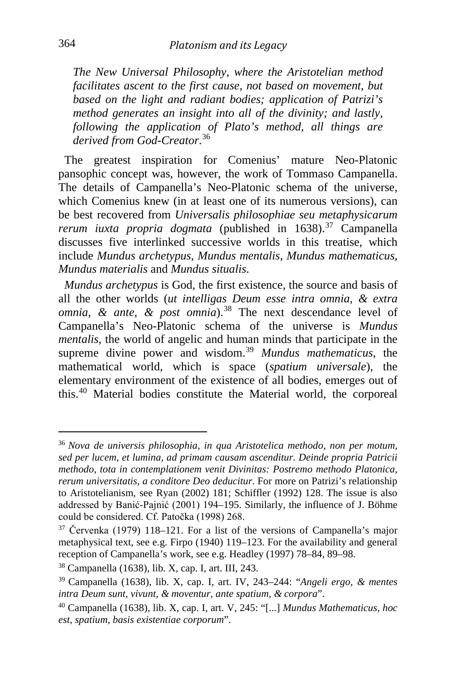*The New Universal Philosophy, where the Aristotelian method facilitates ascent to the first cause, not based on movement, but based on the light and radiant bodies; application of Patrizi's method generates an insight into all of the divinity; and lastly, following the application of Plato's method, all things are derived from God-Creator*. [36](#page-8-0)

 The greatest inspiration for Comenius' mature Neo-Platonic pansophic concept was, however, the work of Tommaso Campanella. The details of Campanella's Neo-Platonic schema of the universe, which Comenius knew (in at least one of its numerous versions), can be best recovered from *Universalis philosophiae seu metaphysicarum rerum iuxta propria dogmata* (published in 1638).<sup>[37](#page-8-1)</sup> Campanella discusses five interlinked successive worlds in this treatise, which include *Mundus archetypus*, *Mundus mentalis*, *Mundus mathematicus*, *Mundus materialis* and *Mundus situalis*.

 *Mundus archetypus* is God, the first existence, the source and basis of all the other worlds (*ut intelligas Deum esse intra omnia, & extra omnia, & ante, & post omnia*).<sup>[38](#page-8-2)</sup> The next descendance level of Campanella's Neo-Platonic schema of the universe is *Mundus mentalis*, the world of angelic and human minds that participate in the supreme divine power and wisdom.[39](#page-8-3) *Mundus mathematicus*, the mathematical world, which is space (*spatium universale*), the elementary environment of the existence of all bodies, emerges out of this.[40](#page-8-4) Material bodies constitute the Material world, the corporeal

<span id="page-8-0"></span><sup>36</sup> *Nova de universis philosophia, in qua Aristotelica methodo, non per motum, sed per lucem, et lumina, ad primam causam ascenditur. Deinde propria Patricii methodo, tota in contemplationem venit Divinitas: Postremo methodo Platonica, rerum universitatis, a conditore Deo deducitur*. For more on Patrizi's relationship to Aristotelianism, see Ryan (2002) 181; Schiffler (1992) 128. The issue is also addressed by Banić-Pajnić (2001) 194–195. Similarly, the influence of J. Böhme could be considered. Cf. Patočka (1998) 268.

<span id="page-8-1"></span> $37$  Červenka (1979) 118–121. For a list of the versions of Campanella's major metaphysical text, see e.g. Firpo (1940) 119–123. For the availability and general reception of Campanella's work, see e.g. Headley (1997) 78–84, 89–98.

<span id="page-8-2"></span><sup>38</sup> Campanella (1638), lib. X, cap. I, art. III, 243.

<span id="page-8-3"></span><sup>39</sup> Campanella (1638), lib. X, cap. I, art. IV, 243–244: "*Angeli ergo, & mentes intra Deum sunt, vivunt, & moventur, ante spatium, & corpora*".

<span id="page-8-4"></span><sup>40</sup> Campanella (1638), lib. X, cap. I, art. V, 245: "[...] *Mundus Mathematicus, hoc est, spatium, basis existentiae corporum*".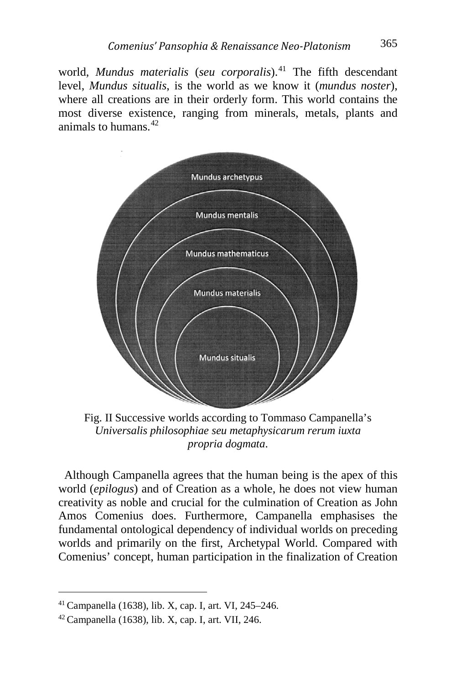world, *Mundus materialis* (*seu corporalis*).<sup>[41](#page-9-0)</sup> The fifth descendant level, *Mundus situalis*, is the world as we know it (*mundus noster*), where all creations are in their orderly form. This world contains the most diverse existence, ranging from minerals, metals, plants and animals to humans $42$ 



Fig. II Successive worlds according to Tommaso Campanella's *Universalis philosophiae seu metaphysicarum rerum iuxta propria dogmata*.

 Although Campanella agrees that the human being is the apex of this world (*epilogus*) and of Creation as a whole, he does not view human creativity as noble and crucial for the culmination of Creation as John Amos Comenius does. Furthermore, Campanella emphasises the fundamental ontological dependency of individual worlds on preceding worlds and primarily on the first, Archetypal World. Compared with Comenius' concept, human participation in the finalization of Creation

<span id="page-9-0"></span><sup>41</sup> Campanella (1638), lib. X, cap. I, art. VI, 245–246.

<span id="page-9-1"></span> $42$  Campanella (1638), lib. X, cap. I, art. VII, 246.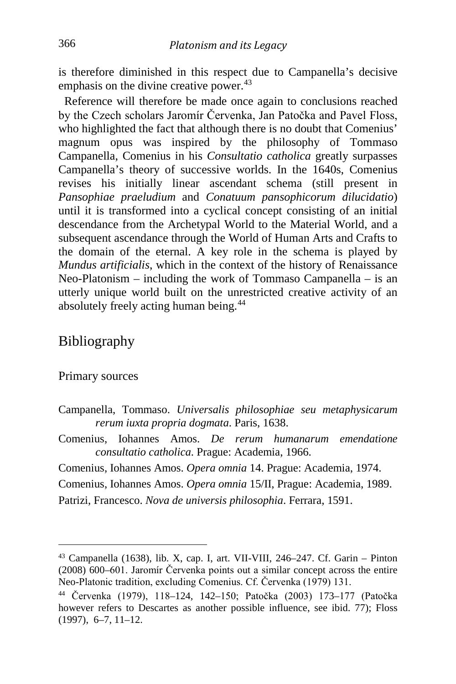is therefore diminished in this respect due to Campanella's decisive emphasis on the divine creative power. $43$ 

 Reference will therefore be made once again to conclusions reached by the Czech scholars Jaromír Červenka, Jan Patočka and Pavel Floss, who highlighted the fact that although there is no doubt that Comenius' magnum opus was inspired by the philosophy of Tommaso Campanella, Comenius in his *Consultatio catholica* greatly surpasses Campanella's theory of successive worlds. In the 1640s, Comenius revises his initially linear ascendant schema (still present in *Pansophiae praeludium* and *Conatuum pansophicorum dilucidatio*) until it is transformed into a cyclical concept consisting of an initial descendance from the Archetypal World to the Material World, and a subsequent ascendance through the World of Human Arts and Crafts to the domain of the eternal. A key role in the schema is played by *Mundus artificialis*, which in the context of the history of Renaissance Neo-Platonism – including the work of Tommaso Campanella – is an utterly unique world built on the unrestricted creative activity of an absolutely freely acting human being.<sup>[44](#page-10-1)</sup>

#### Bibliography

#### Primary sources

i,

- Campanella, Tommaso. *Universalis philosophiae seu metaphysicarum rerum iuxta propria dogmata*. Paris, 1638.
- Comenius, Iohannes Amos. *De rerum humanarum emendatione consultatio catholica*. Prague: Academia, 1966.
- Comenius, Iohannes Amos. *Opera omnia* 14. Prague: Academia, 1974.
- Comenius, Iohannes Amos. *Opera omnia* 15/II, Prague: Academia, 1989.
- Patrizi, Francesco. *Nova de universis philosophia*. Ferrara, 1591.

<span id="page-10-0"></span><sup>43</sup> Campanella (1638), lib. X, cap. I, art. VII-VIII, 246–247. Cf. Garin – Pinton (2008) 600–601. Jaromír Červenka points out a similar concept across the entire Neo-Platonic tradition, excluding Comenius. Cf. Červenka (1979) 131.

<span id="page-10-1"></span><sup>44</sup> Červenka (1979), 118–124, 142–150; Patočka (2003) 173–177 (Patočka however refers to Descartes as another possible influence, see ibid. 77); Floss (1997), 6–7, 11–12.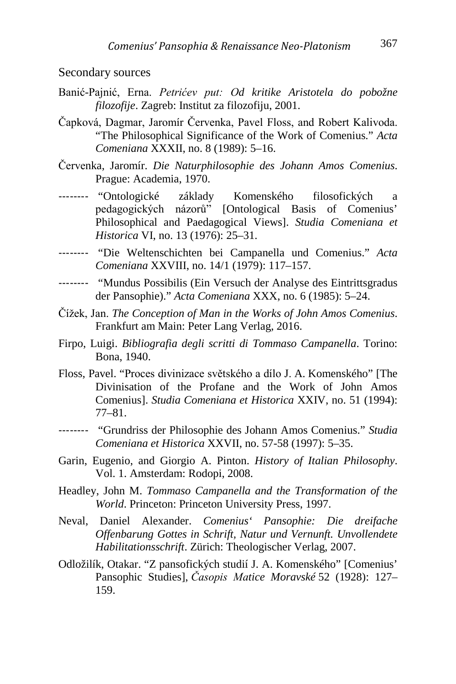#### Secondary sources

- Banić-Pajnić, Erna. *Petrićev put: Od kritike Aristotela do pobožne filozofije*. Zagreb: Institut za filozofiju, 2001.
- Čapková, Dagmar, Jaromír Červenka, Pavel Floss, and Robert Kalivoda. "The Philosophical Significance of the Work of Comenius." *Acta Comeniana* XXXII, no. 8 (1989): 5–16.
- Červenka, Jaromír. *Die Naturphilosophie des Johann Amos Comenius*. Prague: Academia, 1970.
- -------- "Ontologické základy Komenského filosofických a pedagogických názorů" [Ontological Basis of Comenius' Philosophical and Paedagogical Views]. *Studia Comeniana et Historica* VI, no. 13 (1976): 25–31.
- -------- "Die Weltenschichten bei Campanella und Comenius." *Acta Comeniana* XXVIII, no. 14/1 (1979): 117–157.
- -------- "Mundus Possibilis (Ein Versuch der Analyse des Eintrittsgradus der Pansophie)." *Acta Comeniana* XXX, no. 6 (1985): 5–24.
- Čížek, Jan. *The Conception of Man in the Works of John Amos Comenius*. Frankfurt am Main: Peter Lang Verlag, 2016.
- Firpo, Luigi. *Bibliografia degli scritti di Tommaso Campanella*. Torino: Bona, 1940.
- Floss, Pavel. "Proces divinizace světského a dílo J. A. Komenského" [The Divinisation of the Profane and the Work of John Amos Comenius]. *Studia Comeniana et Historica* XXIV, no. 51 (1994): 77–81.
- -------- "Grundriss der Philosophie des Johann Amos Comenius." *Studia Comeniana et Historica* XXVII, no. 57-58 (1997): 5–35.
- Garin, Eugenio, and Giorgio A. Pinton. *History of Italian Philosophy*. Vol. 1. Amsterdam: Rodopi, 2008.
- Headley, John M. *Tommaso Campanella and the Transformation of the World*. Princeton: Princeton University Press, 1997.
- Neval, Daniel Alexander. *Comenius' Pansophie: Die dreifache Offenbarung Gottes in Schrift, Natur und Vernunft. Unvollendete Habilitationsschrift*. Zürich: Theologischer Verlag, 2007.
- Odložilík, Otakar. "Z pansofických studií J. A. Komenského" [Comenius' Pansophic Studies], *Časopis Matice Moravské* 52 (1928): 127– 159.